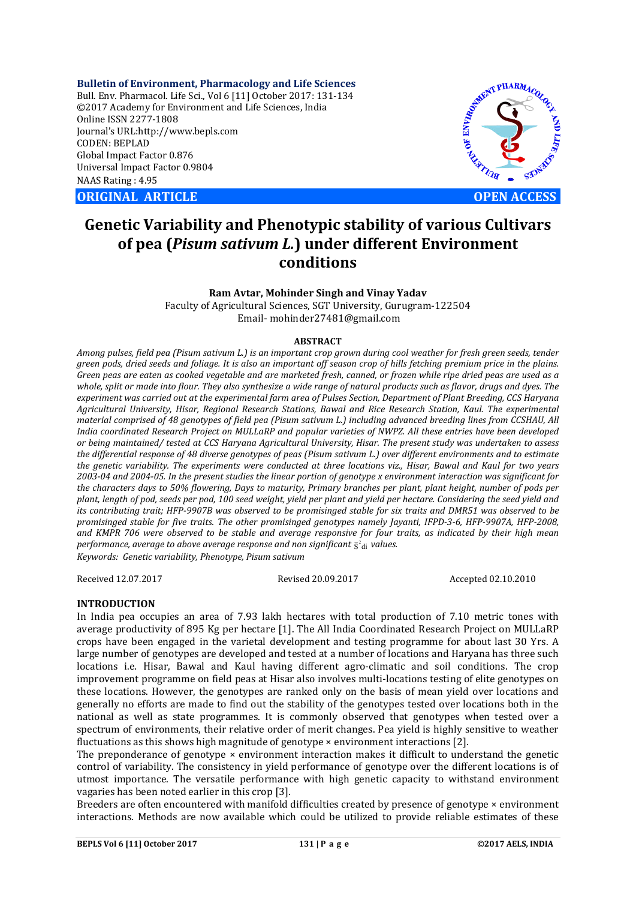**Bulletin of Environment, Pharmacology and Life Sciences** Bull. Env. Pharmacol. Life Sci., Vol 6 [11] October 2017: 131-134 ©2017 Academy for Environment and Life Sciences, India Online ISSN 2277-1808 Journal's URL:http://www.bepls.com CODEN: BEPLAD Global Impact Factor 0.876 Universal Impact Factor 0.9804 NAAS Rating : 4.95

**ORIGINAL ARTICLE OPEN ACCESS** 



# **Genetic Variability and Phenotypic stability of various Cultivars of pea (***Pisum sativum L.***) under different Environment conditions**

**Ram Avtar, Mohinder Singh and Vinay Yadav** Faculty of Agricultural Sciences, SGT University, Gurugram-122504 Email- mohinder27481@gmail.com

#### **ABSTRACT**

*Among pulses, field pea (Pisum sativum L.) is an important crop grown during cool weather for fresh green seeds, tender green pods, dried seeds and foliage. It is also an important off season crop of hills fetching premium price in the plains. Green peas are eaten as cooked vegetable and are marketed fresh, canned, or frozen while ripe dried peas are used as a whole, split or made into flour. They also synthesize a wide range of natural products such as flavor, drugs and dyes. The experiment was carried out at the experimental farm area of Pulses Section, Department of Plant Breeding, CCS Haryana Agricultural University, Hisar, Regional Research Stations, Bawal and Rice Research Station, Kaul. The experimental material comprised of 48 genotypes of field pea (Pisum sativum L.) including advanced breeding lines from CCSHAU, All India coordinated Research Project on MULLaRP and popular varieties of NWPZ. All these entries have been developed or being maintained/ tested at CCS Haryana Agricultural University, Hisar. The present study was undertaken to assess the differential response of 48 diverse genotypes of peas (Pisum sativum L.) over different environments and to estimate the genetic variability. The experiments were conducted at three locations viz., Hisar, Bawal and Kaul for two years 2003-04 and 2004-05. In the present studies the linear portion of genotype x environment interaction was significant for the characters days to 50% flowering, Days to maturity, Primary branches per plant, plant height, number of pods per plant, length of pod, seeds per pod, 100 seed weight, yield per plant and yield per hectare. Considering the seed yield and its contributing trait; HFP-9907B was observed to be promisinged stable for six traits and DMR51 was observed to be promisinged stable for five traits. The other promisinged genotypes namely Jayanti, IFPD-3-6, HFP-9907A, HFP-2008, and KMPR 706 were observed to be stable and average responsive for four traits, as indicated by their high mean*  performance, average to above average response and non significant  $\bar{\mathsf{s}}^{\mathsf{2}}$ <sub>di</sub> values. *Keywords: Genetic variability, Phenotype, Pisum sativum*

Received 12.07.2017 Revised 20.09.2017 Accepted 02.10.2010

## **INTRODUCTION**

In India pea occupies an area of 7.93 lakh hectares with total production of 7.10 metric tones with average productivity of 895 Kg per hectare [1]. The All India Coordinated Research Project on MULLaRP crops have been engaged in the varietal development and testing programme for about last 30 Yrs. A large number of genotypes are developed and tested at a number of locations and Haryana has three such locations i.e. Hisar, Bawal and Kaul having different agro-climatic and soil conditions. The crop improvement programme on field peas at Hisar also involves multi-locations testing of elite genotypes on these locations. However, the genotypes are ranked only on the basis of mean yield over locations and generally no efforts are made to find out the stability of the genotypes tested over locations both in the national as well as state programmes. It is commonly observed that genotypes when tested over a spectrum of environments, their relative order of merit changes. Pea yield is highly sensitive to weather fluctuations as this shows high magnitude of genotype × environment interactions [2].

The preponderance of genotype  $\times$  environment interaction makes it difficult to understand the genetic control of variability. The consistency in yield performance of genotype over the different locations is of utmost importance. The versatile performance with high genetic capacity to withstand environment vagaries has been noted earlier in this crop [3].

Breeders are often encountered with manifold difficulties created by presence of genotype × environment interactions. Methods are now available which could be utilized to provide reliable estimates of these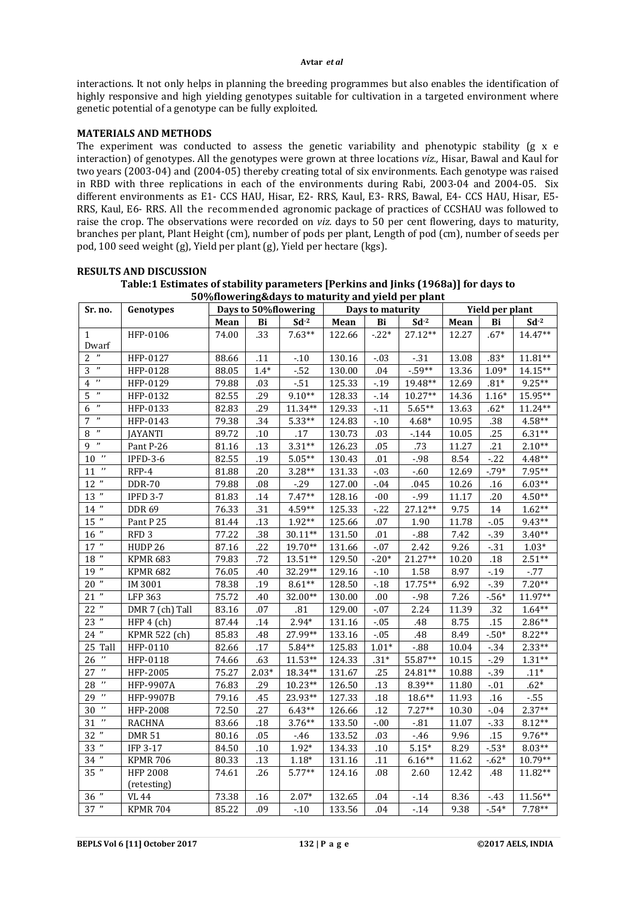#### **Avtar** *et al*

interactions. It not only helps in planning the breeding programmes but also enables the identification of highly responsive and high yielding genotypes suitable for cultivation in a targeted environment where genetic potential of a genotype can be fully exploited.

## **MATERIALS AND METHODS**

The experiment was conducted to assess the genetic variability and phenotypic stability (g x e interaction) of genotypes. All the genotypes were grown at three locations *viz.,* Hisar, Bawal and Kaul for two years (2003-04) and (2004-05) thereby creating total of six environments. Each genotype was raised in RBD with three replications in each of the environments during Rabi, 2003-04 and 2004-05. Six different environments as E1- CCS HAU, Hisar, E2- RRS, Kaul, E3- RRS, Bawal, E4- CCS HAU, Hisar, E5- RRS, Kaul, E6- RRS. All the recommended agronomic package of practices of CCSHAU was followed to raise the crop. The observations were recorded on *viz.* days to 50 per cent flowering, days to maturity, branches per plant, Plant Height (cm), number of pods per plant, Length of pod (cm), number of seeds per pod, 100 seed weight (g), Yield per plant (g), Yield per hectare (kgs).

| 50%flowering&days to maturity and yield per plant |                  |                      |         |           |        |                  |           |                 |         |           |
|---------------------------------------------------|------------------|----------------------|---------|-----------|--------|------------------|-----------|-----------------|---------|-----------|
| Sr. no.                                           | Genotypes        | Days to 50%flowering |         |           |        | Days to maturity |           | Yield per plant |         |           |
|                                                   |                  | Mean                 | Bi      | $Sd-2$    | Mean   | Bi               | $Sd-2$    | Mean            | Bi      | $Sd-2$    |
| $\mathbf{1}$                                      | HFP-0106         | 74.00                | .33     | $7.63**$  | 122.66 | $-.22*$          | 27.12**   | 12.27           | $.67*$  | $14.47**$ |
| Dwarf                                             |                  |                      |         |           |        |                  |           |                 |         |           |
| $\boldsymbol{\eta}$<br>$\overline{c}$             | HFP-0127         | 88.66                | .11     | $-.10$    | 130.16 | $-.03$           | $-.31$    | 13.08           | $.83*$  | $11.81**$ |
| $\boldsymbol{\eta}$<br>3                          | HFP-0128         | 88.05                | $1.4*$  | $-52$     | 130.00 | .04              | $-59**$   | 13.36           | $1.09*$ | 14.15**   |
| $\boldsymbol{\eta}$<br>4                          | HFP-0129         | 79.88                | .03     | $-51$     | 125.33 | $-0.19$          | 19.48**   | 12.69           | $.81*$  | $9.25**$  |
| $\boldsymbol{\eta}$<br>5                          | HFP-0132         | 82.55                | .29     | $9.10**$  | 128.33 | $-14$            | $10.27**$ | 14.36           | $1.16*$ | 15.95**   |
| $\boldsymbol{\eta}$<br>6                          | HFP-0133         | 82.83                | .29     | $11.34**$ | 129.33 | $-11$            | $5.65**$  | 13.63           | $.62*$  | $11.24**$ |
| $\boldsymbol{\eta}$<br>7                          | HFP-0143         | 79.38                | .34     | $5.33**$  | 124.83 | $-.10$           | $4.68*$   | 10.95           | .38     | $4.58**$  |
| $\boldsymbol{\eta}$<br>8                          | <b>JAYANTI</b>   | 89.72                | .10     | .17       | 130.73 | .03              | $-144$    | 10.05           | .25     | $6.31**$  |
| $\boldsymbol{\eta}$<br>9                          | Pant P-26        | 81.16                | .13     | $3.31**$  | 126.23 | .05              | .73       | 11.27           | .21     | $2.10**$  |
| $10^{-n}$                                         | $IPFD-3-6$       | 82.55                | .19     | $5.05**$  | 130.43 | .01              | $-.98$    | 8.54            | $-22$   | $4.48**$  |
| $\boldsymbol{\eta}$<br>11                         | RFP-4            | 81.88                | .20     | $3.28**$  | 131.33 | $-.03$           | $-.60$    | 12.69           | $-79*$  | $7.95**$  |
| $12$ $^{\prime\prime}$                            | <b>DDR-70</b>    | 79.88                | .08     | $-29$     | 127.00 | $-.04$           | .045      | 10.26           | .16     | $6.03**$  |
| $13$ "                                            | <b>IPFD 3-7</b>  | 81.83                | .14     | $7.47**$  | 128.16 | $-00$            | -.99      | 11.17           | .20     | $4.50**$  |
| $14$ $"$                                          | <b>DDR 69</b>    | 76.33                | .31     | $4.59**$  | 125.33 | $-22$            | 27.12**   | 9.75            | 14      | $1.62**$  |
| $15$ $\,^{\prime\prime}$                          | Pant P 25        | 81.44                | .13     | $1.92**$  | 125.66 | .07              | 1.90      | 11.78           | $-0.05$ | $9.43**$  |
| $16$ $^{\prime\prime}$                            | RFD <sub>3</sub> | 77.22                | .38     | $30.11**$ | 131.50 | .01              | $-0.88$   | 7.42            | $-39$   | $3.40**$  |
| $17$ $\hspace{0.1cm}$ "                           | HUDP 26          | 87.16                | .22     | 19.70**   | 131.66 | $-.07$           | 2.42      | 9.26            | $-.31$  | $1.03*$   |
| $18$ $^{\prime\prime}$                            | <b>KPMR 683</b>  | 79.83                | .72     | $13.51**$ | 129.50 | $-20*$           | 21.27**   | 10.20           | $.18\,$ | $2.51**$  |
| 19"                                               | <b>KPMR 682</b>  | 76.05                | .40     | 32.29**   | 129.16 | $-.10$           | 1.58      | 8.97            | $-19$   | $-77$     |
| $20$ "                                            | IM 3001          | 78.38                | .19     | $8.61**$  | 128.50 | $-.18$           | 17.75**   | 6.92            | $-39$   | $7.20**$  |
| $21$ "                                            | <b>LFP 363</b>   | 75.72                | .40     | 32.00**   | 130.00 | .00              | $-.98$    | 7.26            | $-56*$  | 11.97**   |
| $22$ "                                            | DMR 7 (ch) Tall  | 83.16                | .07     | .81       | 129.00 | $-.07$           | 2.24      | 11.39           | .32     | $1.64**$  |
| 23 "                                              | HFP 4 (ch)       | 87.44                | .14     | $2.94*$   | 131.16 | $-.05$           | .48       | 8.75            | .15     | $2.86**$  |
| $24$ "                                            | KPMR 522 (ch)    | 85.83                | .48     | 27.99**   | 133.16 | $-.05$           | .48       | 8.49            | $-50*$  | $8.22**$  |
| 25 Tall                                           | HFP-0110         | 82.66                | .17     | $5.84**$  | 125.83 | $1.01*$          | $-0.88$   | 10.04           | $-34$   | $2.33**$  |
| $\boldsymbol{\eta}$<br>26                         | HFP-0118         | 74.66                | .63     | $11.53**$ | 124.33 | $.31*$           | 55.87**   | 10.15           | $-29$   | $1.31**$  |
| IJ<br>27                                          | HFP-2005         | 75.27                | $2.03*$ | 18.34**   | 131.67 | .25              | 24.81**   | 10.88           | $-0.39$ | $.11*$    |
| $\boldsymbol{\eta}$<br>28                         | <b>HFP-9907A</b> | 76.83                | .29     | $10.23**$ | 126.50 | .13              | $8.39**$  | 11.80           | $-.01$  | $.62*$    |
| $\boldsymbol{\eta}$<br>29                         | <b>HFP-9907B</b> | 79.16                | .45     | 23.93**   | 127.33 | .18              | 18.6**    | 11.93           | .16     | $-55$     |
| $\boldsymbol{\eta}$<br>30                         | HFP-2008         | 72.50                | .27     | $6.43**$  | 126.66 | .12              | $7.27**$  | 10.30           | $-.04$  | $2.37**$  |
| $\boldsymbol{\eta}$<br>31                         | <b>RACHNA</b>    | 83.66                | .18     | $3.76**$  | 133.50 | $-.00$           | $-81$     | 11.07           | $-33$   | $8.12**$  |
| $32$ "                                            | <b>DMR 51</b>    | 80.16                | .05     | $-46$     | 133.52 | .03              | $-46$     | 9.96            | .15     | $9.76**$  |
| $33$ "                                            | <b>IFP 3-17</b>  | 84.50                | .10     | $1.92*$   | 134.33 | .10              | $5.15*$   | 8.29            | $-53*$  | $8.03**$  |
| $34$ "                                            | <b>KPMR 706</b>  | 80.33                | .13     | $1.18*$   | 131.16 | .11              | $6.16**$  | 11.62           | $-62*$  | 10.79**   |
| $35$ "                                            | <b>HFP 2008</b>  | 74.61                | .26     | $5.77**$  | 124.16 | .08              | 2.60      | 12.42           | .48     | $11.82**$ |
|                                                   | (retesting)      |                      |         |           |        |                  |           |                 |         |           |
| $36$ $\,$ $\,$ $\,$                               | <b>VL 44</b>     | 73.38                | .16     | $2.07*$   | 132.65 | .04              | $-14$     | 8.36            | $-.43$  | $11.56**$ |
| 37"                                               | <b>KPMR 704</b>  | 85.22                | .09     | $-10$     | 133.56 | .04              | $-14$     | 9.38            | $-54*$  | $7.78**$  |

## **RESULTS AND DISCUSSION**

**Table:1 Estimates of stability parameters [Perkins and Jinks (1968a)] for days to 50%flowering&days to maturity and yield per plant**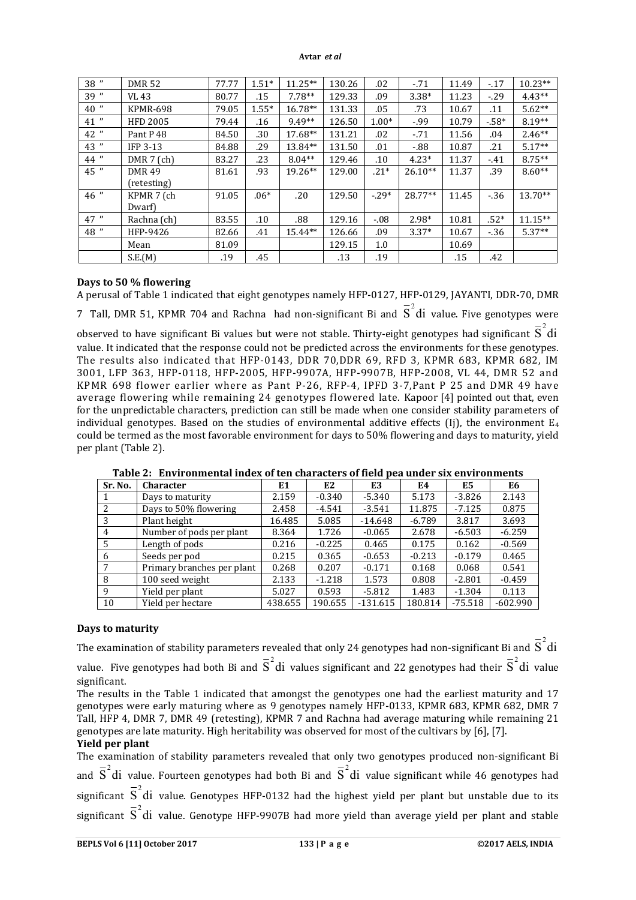#### **Avtar** *et al*

| 38 "   | <b>DMR 52</b>               | 77.77 | $1.51*$ | $11.25**$ | 130.26 | .02      | $-.71$    | 11.49 | $-17$  | $10.23**$ |
|--------|-----------------------------|-------|---------|-----------|--------|----------|-----------|-------|--------|-----------|
| 39 "   | VL 43                       | 80.77 | .15     | $7.78**$  | 129.33 | .09      | $3.38*$   | 11.23 | $-.29$ | $4.43**$  |
| $40$ " | KPMR-698                    | 79.05 | $1.55*$ | $16.78**$ | 131.33 | .05      | .73       | 10.67 | .11    | $5.62**$  |
| 41 "   | <b>HFD 2005</b>             | 79.44 | .16     | 9.49**    | 126.50 | $1.00*$  | $-99$     | 10.79 | $-58*$ | $8.19**$  |
| 42"    | Pant P <sub>48</sub>        | 84.50 | .30     | 17.68**   | 131.21 | .02      | $-.71$    | 11.56 | .04    | $2.46**$  |
| 43 "   | <b>IFP 3-13</b>             | 84.88 | .29     | 13.84**   | 131.50 | .01      | $-0.88$   | 10.87 | .21    | $5.17**$  |
| 44 "   | $DMR 7$ (ch)                | 83.27 | .23     | $8.04**$  | 129.46 | .10      | $4.23*$   | 11.37 | $-41$  | $8.75**$  |
| 45 "   | <b>DMR49</b><br>(retesting) | 81.61 | .93     | $19.26**$ | 129.00 | $.21*$   | $26.10**$ | 11.37 | .39    | $8.60**$  |
| $46$ " | KPMR 7 (ch<br>Dwarf         | 91.05 | $.06*$  | .20       | 129.50 | $-0.29*$ | $28.77**$ | 11.45 | $-36$  | $13.70**$ |
| 47''   | Rachna (ch)                 | 83.55 | .10     | .88       | 129.16 | $-.08$   | $2.98*$   | 10.81 | $.52*$ | $11.15**$ |
| 48 "   | HFP-9426                    | 82.66 | .41     | $15.44**$ | 126.66 | .09      | $3.37*$   | 10.67 | $-36$  | $5.37**$  |
|        | Mean                        | 81.09 |         |           | 129.15 | 1.0      |           | 10.69 |        |           |
|        | S.E.(M)                     | .19   | .45     |           | .13    | .19      |           | .15   | .42    |           |

## **Days to 50 % flowering**

A perusal of Table 1 indicated that eight genotypes namely HFP-0127, HFP-0129, JAYANTI, DDR-70, DMR

7 Tall, DMR 51, KPMR 704 and Rachna had non-significant Bi and  $\overline{S}^2$ di value. Five genotypes were

observed to have significant Bi values but were not stable. Thirty-eight genotypes had significant  $\bar{\text{S}}^2$ di value. It indicated that the response could not be predicted across the environments for these genotypes. The results also indicated that HFP-0143, DDR 70,DDR 69, RFD 3, KPMR 683, KPMR 682, IM 3001, LFP 363, HFP-0118, HFP-2005, HFP-9907A, HFP-9907B, HFP-2008, VL 44, DMR 52 and KPMR 698 flower earlier where as Pant P-26, RFP-4, IPFD 3-7,Pant P 25 and DMR 49 have average flowering while remaining 24 genotypes flowered late. Kapoor [4] pointed out that, even for the unpredictable characters, prediction can still be made when one consider stability parameters of individual genotypes. Based on the studies of environmental additive effects (Ij), the environment  $E_4$ could be termed as the most favorable environment for days to 50% flowering and days to maturity, yield per plant (Table 2).

| Sr. No. | <b>Character</b>           | E1      | E2       | E3         | E4       | E5        | E6         |
|---------|----------------------------|---------|----------|------------|----------|-----------|------------|
|         | Days to maturity           | 2.159   | $-0.340$ | $-5.340$   | 5.173    | $-3.826$  | 2.143      |
|         | Days to 50% flowering      | 2.458   | $-4.541$ | $-3.541$   | 11.875   | $-7.125$  | 0.875      |
|         | Plant height               | 16.485  | 5.085    | $-14.648$  | $-6.789$ | 3.817     | 3.693      |
| 4       | Number of pods per plant   | 8.364   | 1.726    | $-0.065$   | 2.678    | $-6.503$  | $-6.259$   |
| .5      | Length of pods             | 0.216   | $-0.225$ | 0.465      | 0.175    | 0.162     | $-0.569$   |
| -6      | Seeds per pod              | 0.215   | 0.365    | $-0.653$   | $-0.213$ | $-0.179$  | 0.465      |
|         | Primary branches per plant | 0.268   | 0.207    | $-0.171$   | 0.168    | 0.068     | 0.541      |
| 8       | 100 seed weight            | 2.133   | $-1.218$ | 1.573      | 0.808    | $-2.801$  | $-0.459$   |
| 9       | Yield per plant            | 5.027   | 0.593    | $-5.812$   | 1.483    | $-1.304$  | 0.113      |
| 10      | Yield per hectare          | 438.655 | 190.655  | $-131.615$ | 180.814  | $-75.518$ | $-602.990$ |

**Table 2: Environmental index of ten characters of field pea under six environments**

## **Days to maturity**

The examination of stability parameters revealed that only 24 genotypes had non-significant Bi and  $\overline{\text{S}}^2$ di value. Five genotypes had both Bi and  $\overline{S}^2$ di values significant and 22 genotypes had their  $\overline{S}^2$ di value significant.

The results in the Table 1 indicated that amongst the genotypes one had the earliest maturity and 17 genotypes were early maturing where as 9 genotypes namely HFP-0133, KPMR 683, KPMR 682, DMR 7 Tall, HFP 4, DMR 7, DMR 49 (retesting), KPMR 7 and Rachna had average maturing while remaining 21 genotypes are late maturity. High heritability was observed for most of the cultivars by [6], [7].

#### **Yield per plant**

The examination of stability parameters revealed that only two genotypes produced non-significant Bi and  $\overline{S}^2$ di value. Fourteen genotypes had both Bi and  $\overline{S}^2$ di value significant while 46 genotypes had significant  $\overline{S}^2$ di value. Genotypes HFP-0132 had the highest yield per plant but unstable due to its significant  $\overline{S}^2$ di value. Genotype HFP-9907B had more yield than average yield per plant and stable